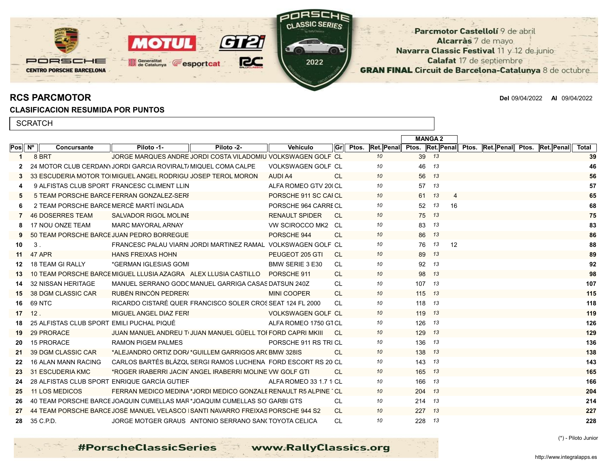

RCS PARCMOTOR Del 09/04/2022 Al 09/04/2022

## CLASIFICACION RESUMIDA POR PUNTOS

| <b>SCRATCH</b>     |  |                                                                 |                                                              |                                                              |                           |            |                  |       |               |                                         |            |       |
|--------------------|--|-----------------------------------------------------------------|--------------------------------------------------------------|--------------------------------------------------------------|---------------------------|------------|------------------|-------|---------------|-----------------------------------------|------------|-------|
|                    |  |                                                                 |                                                              |                                                              |                           |            |                  |       | <b>MANGA2</b> |                                         |            |       |
| $Pos \, N^{\circ}$ |  | Concursante                                                     | Piloto -1-                                                   | Piloto -2-                                                   | <b>Vehiculo</b>           | <b>Grl</b> | Ptos. Ret. Penal |       |               | Ptos. Ret. Penal Ptos. Ret. Penal Ptos. | Ret. Penal | Total |
|                    |  | 8 BRT                                                           |                                                              | JORGE MARQUES ANDRE JORDI COSTA VILADOMIU VOLKSWAGEN GOLF_CL |                           |            | 10               | 39    | 13            |                                         |            | 39    |
|                    |  | 24 MOTOR CLUB CERDAN) JORDI GARCIA ROVIRALTI MIQUEL COMA CALPE  |                                                              |                                                              | <b>VOLKSWAGEN GOLF CL</b> |            | 10               | 46    | - 13          |                                         |            | 46    |
|                    |  | 33 ESCUDERIA MOTOR TO MIGUEL ANGEL RODRIGU JOSEP TEROL MORON    |                                                              |                                                              | AUDI A4                   | <b>CL</b>  | 10               | 56 13 |               |                                         |            | 56    |
|                    |  | 9 ALFISTAS CLUB SPORT FRANCESC CLIMENT LLIN                     |                                                              |                                                              | ALFA ROMEO GTV 200 CL     |            | 10               | 57    | - 13          |                                         |            | 57    |
|                    |  | 5 TEAM PORSCHE BARCE FERRAN GONZALEZ-SERI                       |                                                              |                                                              | PORSCHE 911 SC CAI CL     |            | 10               | 61    | 13<br>4       |                                         |            | 65    |
|                    |  | 2 TEAM PORSCHE BARCE MERCÈ MARTÍ INGLADA                        |                                                              |                                                              | PORSCHE 964 CARRE CL      |            | 10               | 52    | 13<br>16      |                                         |            | 68    |
|                    |  | <b>46 DOSERRES TEAM</b>                                         | SALVADOR RIGOL MOLINE                                        |                                                              | <b>RENAULT SPIDER</b>     | -CL        | 10               |       | 75 13         |                                         |            | 75    |
|                    |  | 17 NOU ONZE TEAM                                                | <b>MARC MAYORAL ARNAY</b>                                    |                                                              | VW SCIROCCO MK2 CL        |            | 10               | 83    | 13            |                                         |            | 83    |
|                    |  | 50 TEAM PORSCHE BARCE JUAN PEDRO BORREGUE                       |                                                              |                                                              | PORSCHE 944               | -CL        | 10               | 86 13 |               |                                         |            | 86    |
| 10                 |  | 3.                                                              | FRANCESC PALAU VIARN JORDI MARTINEZ RAMAL VOLKSWAGEN GOLF CL |                                                              |                           |            | 10               | 76    | 13<br>12      |                                         |            | 88    |
| 11                 |  | 47 APR                                                          | <b>HANS FREIXAS HOHN</b>                                     |                                                              | PEUGEOT 205 GTI           | - CL       | 10               | 89 13 |               |                                         |            | 89    |
| 12                 |  | <b>18 TEAM GI RALLY</b>                                         | *GERMAN IGLESIAS GOMI                                        |                                                              | BMW SERIE 3 E30           | CL         | 10               | 92    | - 13          |                                         |            | 92    |
| 13                 |  | 10 TEAM PORSCHE BARCE MIGUEL LLUSIA AZAGRA ALEX LLUSIA CASTILLO |                                                              |                                                              | PORSCHE 911               | <b>CL</b>  | 10               | 98 13 |               |                                         |            | 98    |
| 14                 |  | 32 NISSAN HERITAGE                                              | MANUEL SERRANO GODC MANUEL GARRIGA CASAS DATSUN 240Z         |                                                              |                           | <b>CL</b>  | 10               | 107   | -13           |                                         |            | 107   |

15 38 DGM CLASSIC CAR RUBÉN RINCON PEDRER(Netter the MINI COOPER CL 10 115 13 13 115 13 115 12 115 12 115 12 115 16 69 NTC RICARDO CISTARÉ QUER FRANCISCO SOLER CROSSEAT 124 FL 2000 CL *10* 118 *13* 118 17 12 . MIGUEL ANGEL DIAZ FERIAL ANGEL ANGEL ANGEL ANGEL ANGEL ANGEL ANGEL ANGEL ANGEL ANGEL ANGEL ANGEL ANGEL A<br>Angel ang managera ang managera ang managera ang managera ang managera ang managera ang managera ang managera 18 25 ALFISTAS CLUB SPORT EMILI PUCHAL PIQUÉ **ALFA ROMEO 1750 GTAM ROMEO 1750 GTAM R** CL <sup>10</sup> 126 <sup>13</sup> 13 126 13 19 29 PRORACE JUAN MANUEL ANDREU TUJUAN MANUEL GÜELL TOI FORD CAPRI MKIII CL 10 129 13 129 13 20 15 PRORACE RAMON PIGEM PALMES PORSCHE 911 RS TRICL 10 136 13 21 39 DGM CLASSIC CAR \*ALEJANDRO ORTIZ DOR/\*GUILLEM GARRIGOS AR(BMW 328IS CL 10 138 13 22 16 ALAN MANN RACING CARLOS BARTÉS BLÁZQUEZSERGI RAMOS LUCHENA FORD ESCORT RS 2000CL *10* 143 *13* 143 23 31 ESCUDERIA KMC \*ROGER IRABERRI JACINTOANGEL IRABERRI MOLINEROVW GOLF GTI CL *10* 165 *13* 165 24 28 ALFISTAS CLUB SPORT ENRIQUE GARCÍA GUTIEF ALFA ROMEO 33 1.7 1 CL 10 166 13 25 11 LOS MEDICOS FERRAN MEDICO MEDINA \*JORDI MEDICO GONZALE RENAULT R5 ALPINE CL 10 204 13 204 13 26 40 TEAM PORSCHE BARCE JOAQUIN CUMELLAS MAR\*JOAQUIM CUMELLAS SO GARBI GTS CL 10 214 13 214 13 27 44 TEAM PORSCHE BARCE JOSÉ MANUEL VELASCO I SANTI NAVARRO FREIXAS PORSCHE 944 S2 CL 10 227 13 227 13 28 35 C.P.D. JORGE MOTGER GRAUS ANTONIO SERRANO SAN(TOYOTA CELICA CL 10 228 13 228 228 228 228 228 228 228 228

(\*) - Piloto Junior

**#PorscheClassicSeries** www.RallyClassics.org